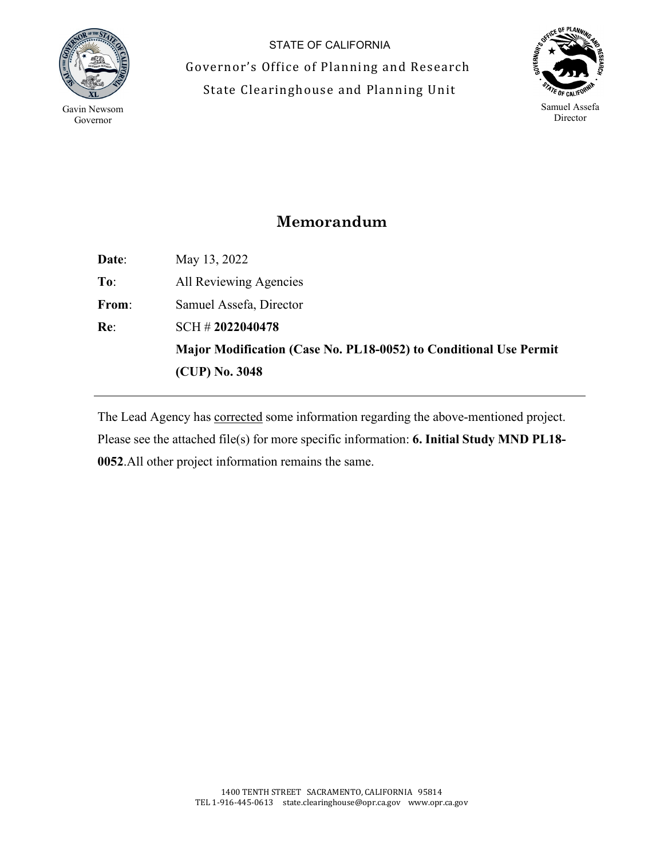

 $\overline{a}$ 

STATE OF CALIFORNIA Governor's Office of Planning and Research State Clearinghouse and Planning Unit



## **Memorandum**

**Date**: May 13, 2022 **To**: All Reviewing Agencies **From**: Samuel Assefa, Director **Re**: SCH # **2022040478 Major Modification (Case No. PL18-0052) to Conditional Use Permit (CUP) No. 3048**

The Lead Agency has corrected some information regarding the above-mentioned project. Please see the attached file(s) for more specific information: **6. Initial Study MND PL18- 0052**.All other project information remains the same.